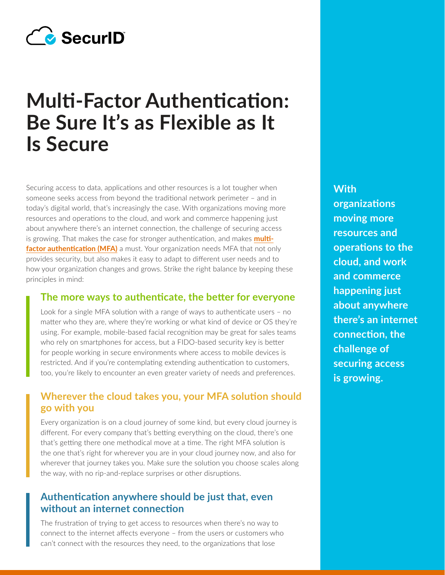

# **Multi-Factor Authentication: Be Sure It's as Flexible as It Is Secure**

Securing access to data, applications and other resources is a lot tougher when someone seeks access from beyond the traditional network perimeter – and in today's digital world, that's increasingly the case. With organizations moving more resources and operations to the cloud, and work and commerce happening just about anywhere there's an internet connection, the challenge of securing access is growing. That makes the case for stronger authentication, and makes **[multi](https://www.securid.com/en-us/blog/the-language-of-cybersecurity/what-is-mfa)[factor authentication \(MFA\)](https://www.securid.com/en-us/blog/the-language-of-cybersecurity/what-is-mfa)** a must. Your organization needs MFA that not only provides security, but also makes it easy to adapt to different user needs and to how your organization changes and grows. Strike the right balance by keeping these principles in mind:

#### **The more ways to authenticate, the better for everyone**

Look for a single MFA solution with a range of ways to authenticate users – no matter who they are, where they're working or what kind of device or OS they're using. For example, mobile-based facial recognition may be great for sales teams who rely on smartphones for access, but a FIDO-based security key is better for people working in secure environments where access to mobile devices is restricted. And if you're contemplating extending authentication to customers, too, you're likely to encounter an even greater variety of needs and preferences.

### **Wherever the cloud takes you, your MFA solution should go with you**

Every organization is on a cloud journey of some kind, but every cloud journey is different. For every company that's betting everything on the cloud, there's one that's getting there one methodical move at a time. The right MFA solution is the one that's right for wherever you are in your cloud journey now, and also for wherever that journey takes you. Make sure the solution you choose scales along the way, with no rip-and-replace surprises or other disruptions.

#### **Authentication anywhere should be just that, even without an internet connection**

The frustration of trying to get access to resources when there's no way to connect to the internet affects everyone – from the users or customers who can't connect with the resources they need, to the organizations that lose

**With organizations moving more resources and operations to the cloud, and work and commerce happening just about anywhere there's an internet connection, the challenge of securing access is growing.**